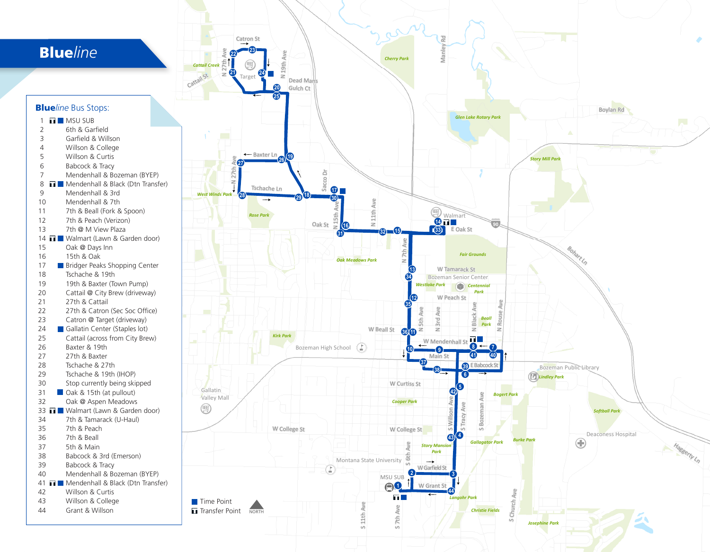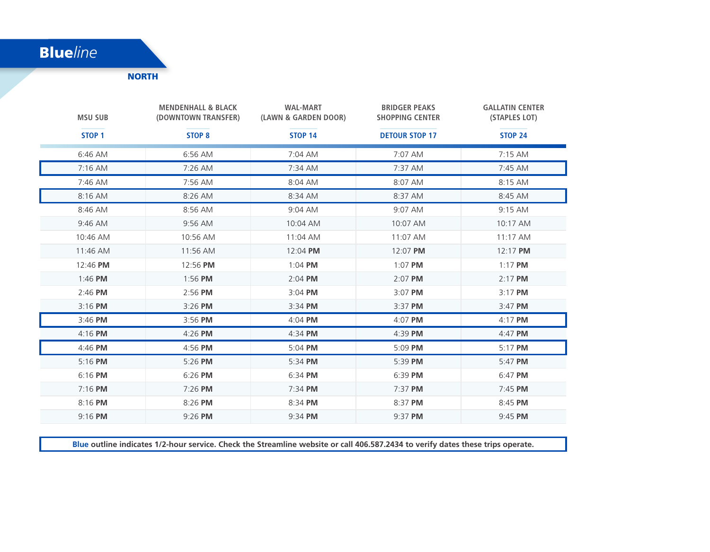## Blue*line*

**NORTH** 

| <b>MSU SUB</b>    | <b>MENDENHALL &amp; BLACK</b><br>(DOWNTOWN TRANSFER) | <b>WAL-MART</b><br>(LAWN & GARDEN DOOR) | <b>BRIDGER PEAKS</b><br><b>SHOPPING CENTER</b> | <b>GALLATIN CENTER</b><br>(STAPLES LOT) |
|-------------------|------------------------------------------------------|-----------------------------------------|------------------------------------------------|-----------------------------------------|
| STOP <sub>1</sub> | STOP <sub>8</sub>                                    | <b>STOP 14</b>                          | <b>DETOUR STOP 17</b>                          | <b>STOP 24</b>                          |
| 6:46 AM           | 6:56 AM                                              | 7:04 AM                                 | 7:07 AM                                        | 7:15 AM                                 |
| $7:16$ AM         | 7:26 AM                                              | 7:34 AM                                 | 7:37 AM                                        | 7:45 AM                                 |
| 7:46 AM           | 7:56 AM                                              | 8:04 AM                                 | 8:07 AM                                        | 8:15 AM                                 |
| 8:16 AM           | 8:26 AM                                              | 8:34 AM                                 | 8:37 AM                                        | 8:45 AM                                 |
| 8:46 AM           | 8:56 AM                                              | 9:04 AM                                 | 9:07 AM                                        | 9:15 AM                                 |
| 9:46 AM           | 9:56 AM                                              | 10:04 AM                                | 10:07 AM                                       | 10:17 AM                                |
| 10:46 AM          | 10:56 AM                                             | 11:04 AM                                | 11:07 AM                                       | $11:17$ AM                              |
| 11:46 AM          | 11:56 AM                                             | 12:04 PM                                | 12:07 PM                                       | 12:17 PM                                |
| 12:46 PM          | 12:56 PM                                             | $1:04$ PM                               | 1:07 PM                                        | $1:17$ PM                               |
| 1:46 PM           | 1:56 PM                                              | $2:04$ PM                               | 2:07 PM                                        | 2:17 PM                                 |
| $2:46$ PM         | $2:56$ PM                                            | $3:04$ PM                               | 3:07 PM                                        | 3:17 PM                                 |
| $3:16$ PM         | 3:26 PM                                              | 3:34 PM                                 | 3:37 PM                                        | 3:47 PM                                 |
| 3:46 PM           | 3:56 PM                                              | $4:04$ PM                               | 4:07 PM                                        | $4:17$ PM                               |
| $4:16$ PM         | 4:26 PM                                              | 4:34 PM                                 | 4:39 PM                                        | 4:47 PM                                 |
| $4:46$ PM         | $4:56$ PM                                            | $5:04$ PM                               | $5:09$ PM                                      | $5:17$ PM                               |
| $5:16$ PM         | $5:26$ PM                                            | 5:34 PM                                 | $5:39$ PM                                      | 5:47 PM                                 |
| 6:16 PM           | 6:26 PM                                              | 6:34 PM                                 | 6:39 PM                                        | 6:47 PM                                 |
| $7:16$ PM         | 7:26 PM                                              | 7:34 PM                                 | 7:37 PM                                        | 7:45 PM                                 |
| 8:16 PM           | 8:26 PM                                              | 8:34 PM                                 | 8:37 PM                                        | 8:45 PM                                 |
| 9:16 PM           | 9:26 PM                                              | 9:34 PM                                 | 9:37 PM                                        | 9:45 PM                                 |

**Blue outline indicates 1/2-hour service. Check the Streamline website or call 406.587.2434 to verify dates these trips operate.**